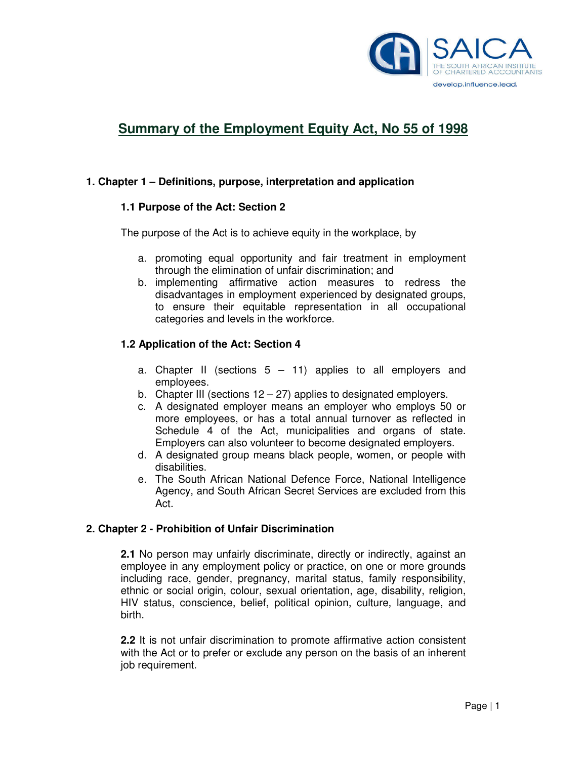

# **Summary of the Employment Equity Act, No 55 of 1998**

## **1. Chapter 1 – Definitions, purpose, interpretation and application**

#### **1.1 Purpose of the Act: Section 2**

The purpose of the Act is to achieve equity in the workplace, by

- a. promoting equal opportunity and fair treatment in employment through the elimination of unfair discrimination; and
- b. implementing affirmative action measures to redress the disadvantages in employment experienced by designated groups, to ensure their equitable representation in all occupational categories and levels in the workforce.

#### **1.2 Application of the Act: Section 4**

- a. Chapter II (sections  $5 11$ ) applies to all employers and employees.
- b. Chapter III (sections  $12 27$ ) applies to designated employers.
- c. A designated employer means an employer who employs 50 or more employees, or has a total annual turnover as reflected in Schedule 4 of the Act, municipalities and organs of state. Employers can also volunteer to become designated employers.
- d. A designated group means black people, women, or people with disabilities.
- e. The South African National Defence Force, National Intelligence Agency, and South African Secret Services are excluded from this Act.

#### **2. Chapter 2 - Prohibition of Unfair Discrimination**

**2.1** No person may unfairly discriminate, directly or indirectly, against an employee in any employment policy or practice, on one or more grounds including race, gender, pregnancy, marital status, family responsibility, ethnic or social origin, colour, sexual orientation, age, disability, religion, HIV status, conscience, belief, political opinion, culture, language, and birth.

**2.2** It is not unfair discrimination to promote affirmative action consistent with the Act or to prefer or exclude any person on the basis of an inherent job requirement.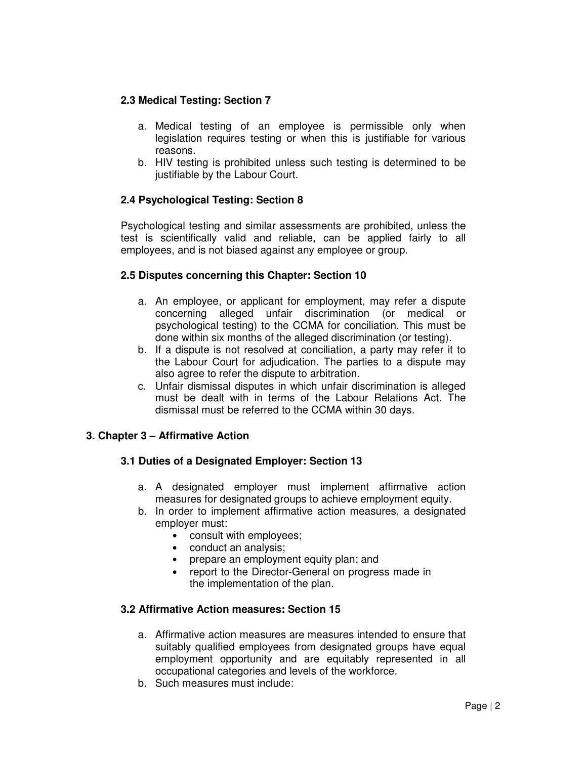## **2.3 Medical Testing: Section 7**

- a. Medical testing of an employee is permissible only when legislation requires testing or when this is justifiable for various reasons.
- b. HIV testing is prohibited unless such testing is determined to be justifiable by the Labour Court.

# **2.4 Psychological Testing: Section 8**

Psychological testing and similar assessments are prohibited, unless the test is scientifically valid and reliable, can be applied fairly to all employees, and is not biased against any employee or group.

## **2.5 Disputes concerning this Chapter: Section 10**

- a. An employee, or applicant for employment, may refer a dispute concerning alleged unfair discrimination (or medical or psychological testing) to the CCMA for conciliation. This must be done within six months of the alleged discrimination (or testing).
- b. If a dispute is not resolved at conciliation, a party may refer it to the Labour Court for adjudication. The parties to a dispute may also agree to refer the dispute to arbitration.
- c. Unfair dismissal disputes in which unfair discrimination is alleged must be dealt with in terms of the Labour Relations Act. The dismissal must be referred to the CCMA within 30 days.

#### **3. Chapter 3 – Affirmative Action**

#### **3.1 Duties of a Designated Employer: Section 13**

- a. A designated employer must implement affirmative action measures for designated groups to achieve employment equity.
- b. In order to implement affirmative action measures, a designated employer must:
	- consult with employees;
	- conduct an analysis;
	- prepare an employment equity plan; and
	- report to the Director-General on progress made in the implementation of the plan.

#### **3.2 Affirmative Action measures: Section 15**

- a. Affirmative action measures are measures intended to ensure that suitably qualified employees from designated groups have equal employment opportunity and are equitably represented in all occupational categories and levels of the workforce.
- b. Such measures must include: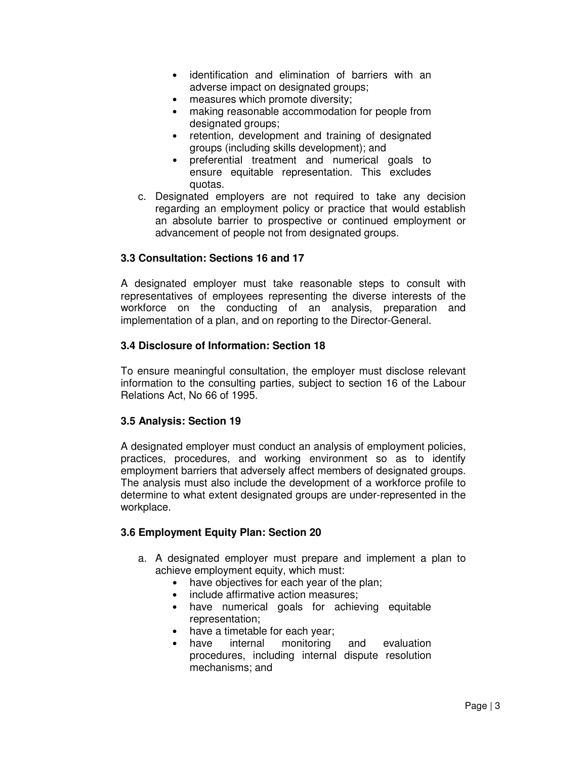- identification and elimination of barriers with an adverse impact on designated groups;
- measures which promote diversity;
- making reasonable accommodation for people from designated groups:
- retention, development and training of designated groups (including skills development); and
- preferential treatment and numerical goals to ensure equitable representation. This excludes quotas.
- c. Designated employers are not required to take any decision regarding an employment policy or practice that would establish an absolute barrier to prospective or continued employment or advancement of people not from designated groups.

## **3.3 Consultation: Sections 16 and 17**

A designated employer must take reasonable steps to consult with representatives of employees representing the diverse interests of the workforce on the conducting of an analysis, preparation and implementation of a plan, and on reporting to the Director-General.

## **3.4 Disclosure of Information: Section 18**

To ensure meaningful consultation, the employer must disclose relevant information to the consulting parties, subject to section 16 of the Labour Relations Act, No 66 of 1995.

#### **3.5 Analysis: Section 19**

A designated employer must conduct an analysis of employment policies, practices, procedures, and working environment so as to identify employment barriers that adversely affect members of designated groups. The analysis must also include the development of a workforce profile to determine to what extent designated groups are under-represented in the workplace.

# **3.6 Employment Equity Plan: Section 20**

- a. A designated employer must prepare and implement a plan to achieve employment equity, which must:
	- have objectives for each year of the plan;
	- include affirmative action measures;
	- have numerical goals for achieving equitable representation;
	- have a timetable for each year;
	- have internal monitoring and evaluation procedures, including internal dispute resolution mechanisms; and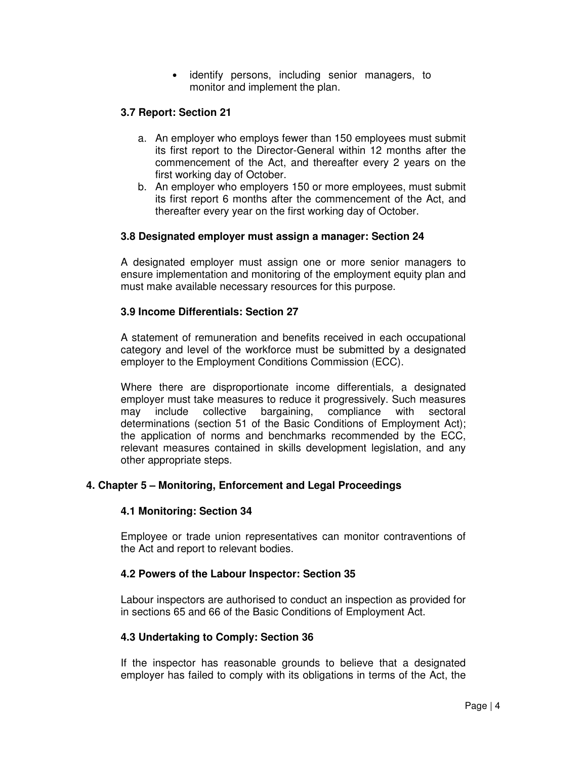• identify persons, including senior managers, to monitor and implement the plan.

#### **3.7 Report: Section 21**

- a. An employer who employs fewer than 150 employees must submit its first report to the Director-General within 12 months after the commencement of the Act, and thereafter every 2 years on the first working day of October.
- b. An employer who employers 150 or more employees, must submit its first report 6 months after the commencement of the Act, and thereafter every year on the first working day of October.

#### **3.8 Designated employer must assign a manager: Section 24**

A designated employer must assign one or more senior managers to ensure implementation and monitoring of the employment equity plan and must make available necessary resources for this purpose.

#### **3.9 Income Differentials: Section 27**

A statement of remuneration and benefits received in each occupational category and level of the workforce must be submitted by a designated employer to the Employment Conditions Commission (ECC).

Where there are disproportionate income differentials, a designated employer must take measures to reduce it progressively. Such measures may include collective bargaining, compliance with sectoral determinations (section 51 of the Basic Conditions of Employment Act); the application of norms and benchmarks recommended by the ECC, relevant measures contained in skills development legislation, and any other appropriate steps.

#### **4. Chapter 5 – Monitoring, Enforcement and Legal Proceedings**

#### **4.1 Monitoring: Section 34**

Employee or trade union representatives can monitor contraventions of the Act and report to relevant bodies.

#### **4.2 Powers of the Labour Inspector: Section 35**

Labour inspectors are authorised to conduct an inspection as provided for in sections 65 and 66 of the Basic Conditions of Employment Act.

#### **4.3 Undertaking to Comply: Section 36**

If the inspector has reasonable grounds to believe that a designated employer has failed to comply with its obligations in terms of the Act, the